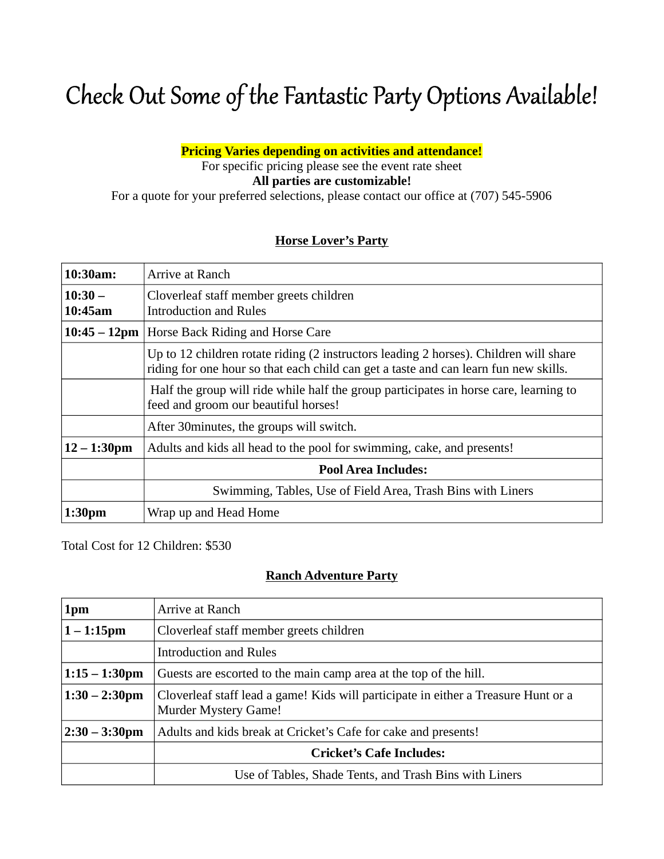# Check Out Some of the Fantastic Party Options Available!

Pricing Varies depending on activities and attendance!

For specific pricing please see the event rate sheet All parties are customizable!

For a quote for your preferred selections, please contact our office at (707) 545-5906

## Horse Lover's Party

| $10:30am$ :         | Arrive at Ranch                                                                                                                                                               |
|---------------------|-------------------------------------------------------------------------------------------------------------------------------------------------------------------------------|
| $10:30-$<br>10:45am | Cloverleaf staff member greets children<br><b>Introduction and Rules</b>                                                                                                      |
|                     | 10:45 – 12pm   Horse Back Riding and Horse Care                                                                                                                               |
|                     | Up to 12 children rotate riding (2 instructors leading 2 horses). Children will share<br>riding for one hour so that each child can get a taste and can learn fun new skills. |
|                     | Half the group will ride while half the group participates in horse care, learning to<br>feed and groom our beautiful horses!                                                 |
|                     | After 30 minutes, the groups will switch.                                                                                                                                     |
| $12 - 1:30$ pm      | Adults and kids all head to the pool for swimming, cake, and presents!                                                                                                        |
|                     | <b>Pool Area Includes:</b>                                                                                                                                                    |
|                     | Swimming, Tables, Use of Field Area, Trash Bins with Liners                                                                                                                   |
| 1:30 <sub>pm</sub>  | Wrap up and Head Home                                                                                                                                                         |

Total Cost for 12 Children: \$530

## Ranch Adventure Party

| 1pm               | Arrive at Ranch                                                                                            |
|-------------------|------------------------------------------------------------------------------------------------------------|
| $1 - 1:15$ pm     | Cloverleaf staff member greets children                                                                    |
|                   | <b>Introduction and Rules</b>                                                                              |
| $1:15 - 1:30$ pm  | Guests are escorted to the main camp area at the top of the hill.                                          |
| $1:30 - 2:30$ pm  | Cloverleaf staff lead a game! Kids will participate in either a Treasure Hunt or a<br>Murder Mystery Game! |
| $ 2:30 - 3:30$ pm | Adults and kids break at Cricket's Cafe for cake and presents!                                             |
|                   | <b>Cricket's Cafe Includes:</b>                                                                            |
|                   | Use of Tables, Shade Tents, and Trash Bins with Liners                                                     |